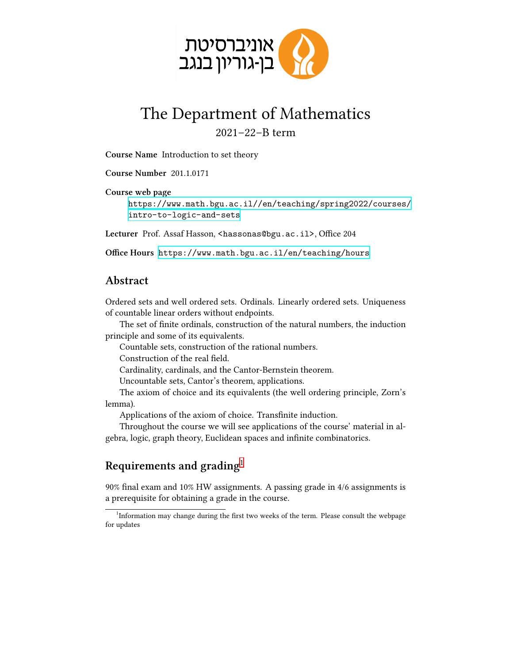

## The Department of Mathematics 2021–22–B term

**Course Name** Introduction to set theory

**Course Number** 201.1.0171 **Course web page** [https://www.math.bgu.ac.il//en/teaching/spring2022/courses/](https://www.math.bgu.ac.il//en/teaching/spring2022/courses/intro-to-logic-and-sets) [intro-to-logic-and-sets](https://www.math.bgu.ac.il//en/teaching/spring2022/courses/intro-to-logic-and-sets)

Lecturer Prof. Assaf Hasson, <hassonas@bgu.ac.il>, Office 204

**Office Hours** <https://www.math.bgu.ac.il/en/teaching/hours>

## **Abstract**

Ordered sets and well ordered sets. Ordinals. Linearly ordered sets. Uniqueness of countable linear orders without endpoints.

The set of finite ordinals, construction of the natural numbers, the induction principle and some of its equivalents.

Countable sets, construction of the rational numbers.

Construction of the real field.

Cardinality, cardinals, and the Cantor-Bernstein theorem.

Uncountable sets, Cantor's theorem, applications.

The axiom of choice and its equivalents (the well ordering principle, Zorn's lemma).

Applications of the axiom of choice. Transfinite induction.

Throughout the course we will see applications of the course' material in algebra, logic, graph theory, Euclidean spaces and infinite combinatorics.

## **Requirements and grading**[1](#page-0-0)

90% final exam and 10% HW assignments. A passing grade in 4/6 assignments is a prerequisite for obtaining a grade in the course.

<span id="page-0-0"></span><sup>&</sup>lt;sup>1</sup>Information may change during the first two weeks of the term. Please consult the webpage for updates